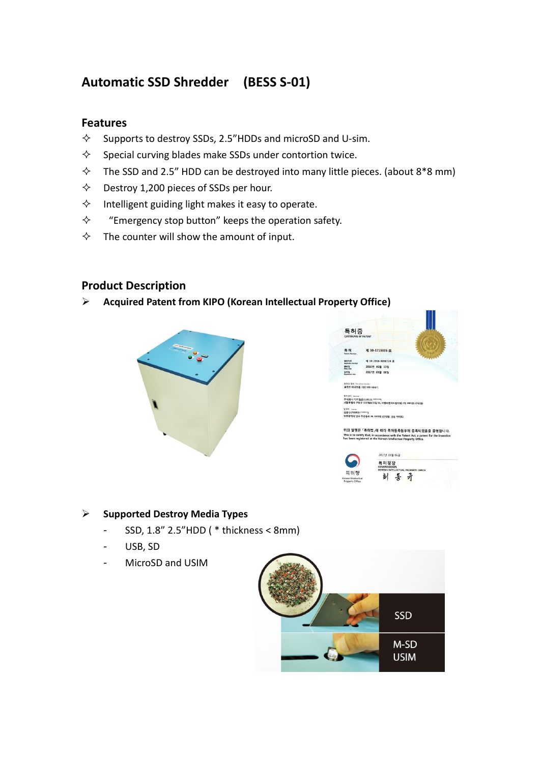## **Automatic SSD Shredder (BESS S-01)**

#### **Features**

- $\Diamond$  Supports to destroy SSDs, 2.5"HDDs and microSD and U-sim.
- $\diamond$  Special curving blades make SSDs under contortion twice.
- $\Diamond$  The SSD and 2.5" HDD can be destroyed into many little pieces. (about 8\*8 mm)
- $\diamond$  Destroy 1,200 pieces of SSDs per hour.
- $\Diamond$  Intelligent guiding light makes it easy to operate.
- $\Diamond$  "Emergency stop button" keeps the operation safety.
- $\Diamond$  The counter will show the amount of input.

### **Product Description**

#### ➢ **Acquired Patent from KIPO [\(Korean Intellectual Property Office\)](http://www.kipo.go.kr/kpo/user.tdf?a=user.eng.main.BoardApp)**







#### ➢ **Supported Destroy Media Types**

- SSD, 1.8" 2.5"HDD ( \* thickness < 8mm)
- USB, SD
- MicroSD and USIM

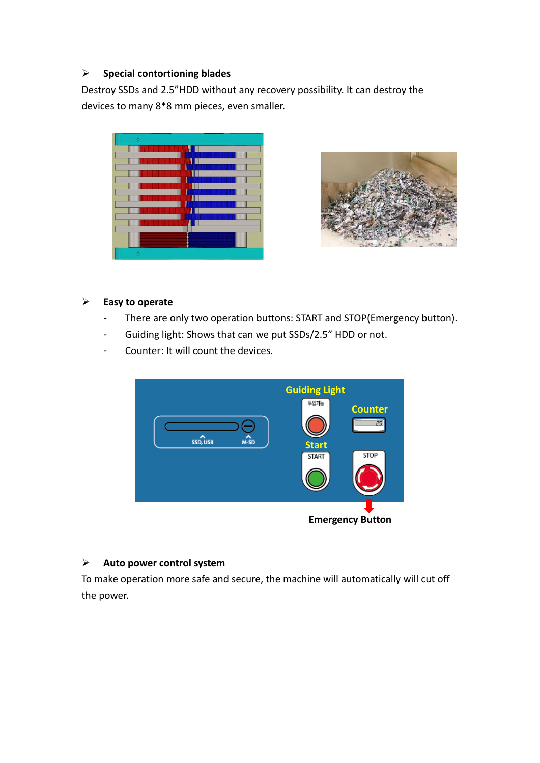#### ➢ **Special contortioning blades**

Destroy SSDs and 2.5"HDD without any recovery possibility. It can destroy the devices to many 8\*8 mm pieces, even smaller.



#### ➢ **Easy to operate**

- There are only two operation buttons: START and STOP(Emergency button).
- Guiding light: Shows that can we put SSDs/2.5" HDD or not.
- Counter: It will count the devices.



#### ➢ **Auto power control system**

To make operation more safe and secure, the machine will automatically will cut off the power.